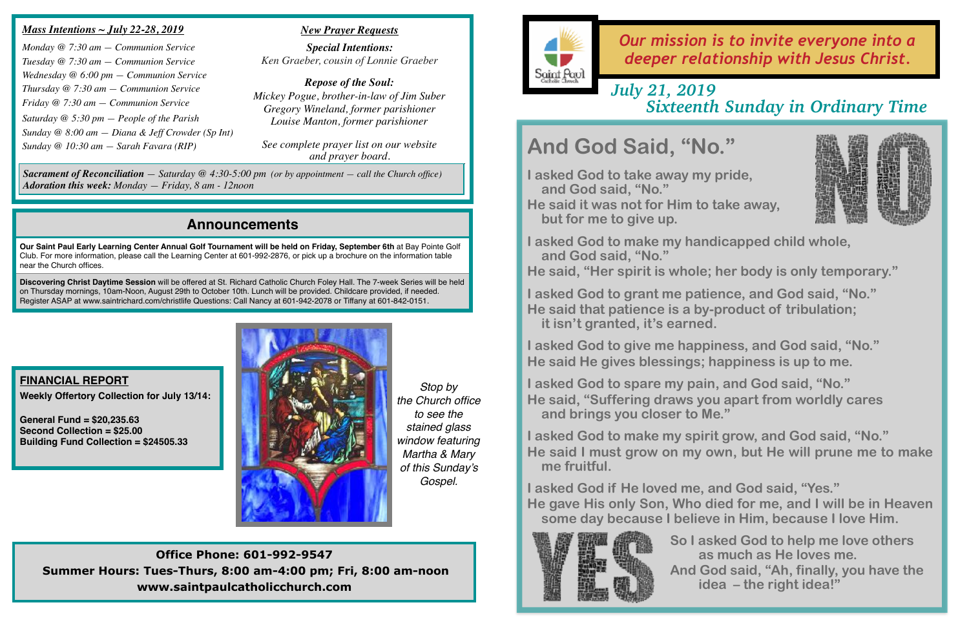## **Announcements**

**Our Saint Paul Early Learning Center Annual Golf Tournament will be held on Friday, September 6th** at Bay Pointe Golf Club. For more information, please call the Learning Center at 601-992-2876, or pick up a brochure on the information table near the Church offices.

**Discovering Christ Daytime Session** will be offered at St. Richard Catholic Church Foley Hall. The 7-week Series will be held on Thursday mornings, 10am-Noon, August 29th to October 10th. Lunch will be provided. Childcare provided, if needed. Register ASAP at [www.saintrichard.com/christlife](http://www.saintrichard.com/christlife) Questions: Call Nancy at 601-942-2078 or Tiffany at 601-842-0151.



# *Our mission is to invite everyone into a deeper relationship with Jesus Christ.*

- 
- 
- 



## *Mass Intentions ~ July 22-28, 2019*

*Monday @ 7:30 am — Communion Service Tuesday @ 7:30 am — Communion Service Wednesday @ 6:00 pm — Communion Service Thursday @ 7:30 am — Communion Service Friday @ 7:30 am — Communion Service Saturday @ 5:30 pm — People of the Parish Sunday @ 8:00 am — Diana & Jeff Crowder (Sp Int) Sunday @ 10:30 am — Sarah Favara (RIP)*

### *New Prayer Requests*

*Special Intentions: Ken Graeber, cousin of Lonnie Graeber*

*Repose of the Soul: Mickey Pogue, brother-in-law of Jim Suber Gregory Wineland, former parishioner Louise Manton, former parishioner*

*See complete prayer list on our website and prayer board.*

**Office Phone: 601-992-9547 Summer Hours: Tues-Thurs, 8:00 am-4:00 pm; Fri, 8:00 am-noon www.saintpaulcatholicchurch.com**

**FINANCIAL REPORT Weekly Offertory Collection for July 13/14:** 

**General Fund = \$20,235.63 Second Collection = \$25.00 Building Fund Collection = \$24505.33**

*Sacrament of Reconciliation — Saturday @ 4:30-5:00 pm (or by appointment — call the Church office) Adoration this week: Monday — Friday, 8 am - 12noon*

## *July 21, 2019 Sixteenth Sunday in Ordinary Time*

# **And God Said, "No."**

**I asked God to take away my pride, and God said, "No." He said it was not for Him to take away,** 

**but for me to give up.** 

**I asked God to make my handicapped child whole, and God said, "No."** 

**I asked God to grant me patience, and God said, "No." He said that patience is a by-product of tribulation; it isn't granted, it's earned.** 

**I asked God to give me happiness, and God said, "No." He said He gives blessings; happiness is up to me.** 

**I asked God to spare my pain, and God said, "No." He said, "Suffering draws you apart from worldly cares and brings you closer to Me."** 

- 
- **He said, "Her spirit is whole; her body is only temporary."** 
	-
	-
	-
- **He said I must grow on my own, but He will prune me to make**
- **He gave His only Son, Who died for me, and I will be in Heaven some day because I believe in Him, because I love Him.** 
	- **So I asked God to help me love others as much as He loves me. And God said, "Ah, finally, you have the idea – the right idea!"**

**I asked God to make my spirit grow, and God said, "No." me fruitful.** 

**I asked God if He loved me, and God said, "Yes."** 



*Stop by the Church office to see the stained glass window featuring Martha & Mary of this Sunday's Gospel.*